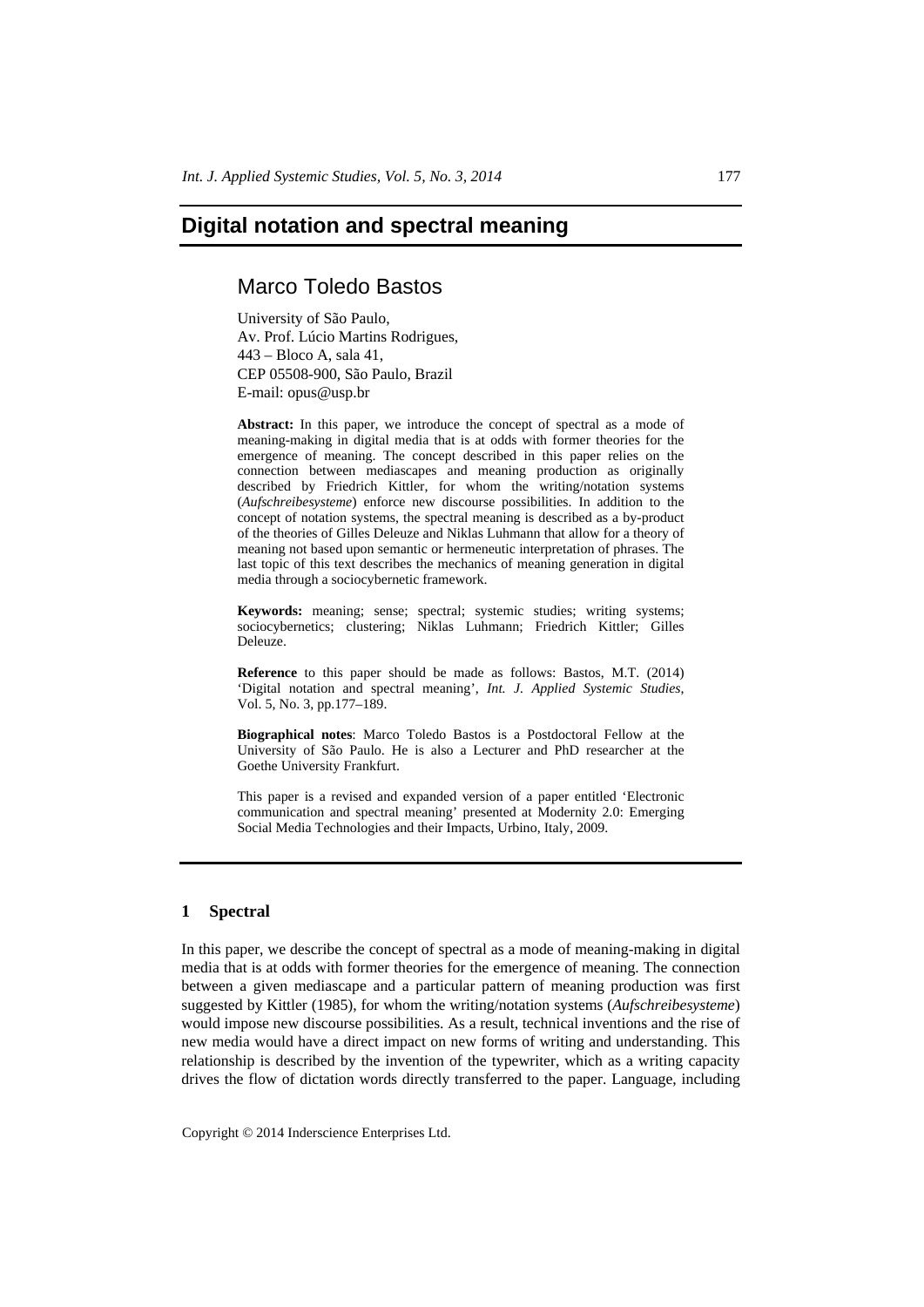# **Digital notation and spectral meaning**

Marco Toledo Bastos

University of São Paulo, Av. Prof. Lúcio Martins Rodrigues, 443 – Bloco A, sala 41, CEP 05508-900, São Paulo, Brazil E-mail: opus@usp.br

**Abstract:** In this paper, we introduce the concept of spectral as a mode of meaning-making in digital media that is at odds with former theories for the emergence of meaning. The concept described in this paper relies on the connection between mediascapes and meaning production as originally described by Friedrich Kittler, for whom the writing/notation systems (*Aufschreibesysteme*) enforce new discourse possibilities. In addition to the concept of notation systems, the spectral meaning is described as a by-product of the theories of Gilles Deleuze and Niklas Luhmann that allow for a theory of meaning not based upon semantic or hermeneutic interpretation of phrases. The last topic of this text describes the mechanics of meaning generation in digital media through a sociocybernetic framework.

**Keywords:** meaning; sense; spectral; systemic studies; writing systems; sociocybernetics; clustering; Niklas Luhmann; Friedrich Kittler; Gilles Deleuze.

**Reference** to this paper should be made as follows: Bastos, M.T. (2014) 'Digital notation and spectral meaning', *Int. J. Applied Systemic Studies*, Vol. 5, No. 3, pp.177–189.

**Biographical notes**: Marco Toledo Bastos is a Postdoctoral Fellow at the University of São Paulo. He is also a Lecturer and PhD researcher at the Goethe University Frankfurt.

This paper is a revised and expanded version of a paper entitled 'Electronic communication and spectral meaning' presented at Modernity 2.0: Emerging Social Media Technologies and their Impacts, Urbino, Italy, 2009.

## **1 Spectral**

In this paper, we describe the concept of spectral as a mode of meaning-making in digital media that is at odds with former theories for the emergence of meaning. The connection between a given mediascape and a particular pattern of meaning production was first suggested by Kittler (1985), for whom the writing/notation systems (*Aufschreibesysteme*) would impose new discourse possibilities. As a result, technical inventions and the rise of new media would have a direct impact on new forms of writing and understanding. This relationship is described by the invention of the typewriter, which as a writing capacity drives the flow of dictation words directly transferred to the paper. Language, including

Copyright © 2014 Inderscience Enterprises Ltd.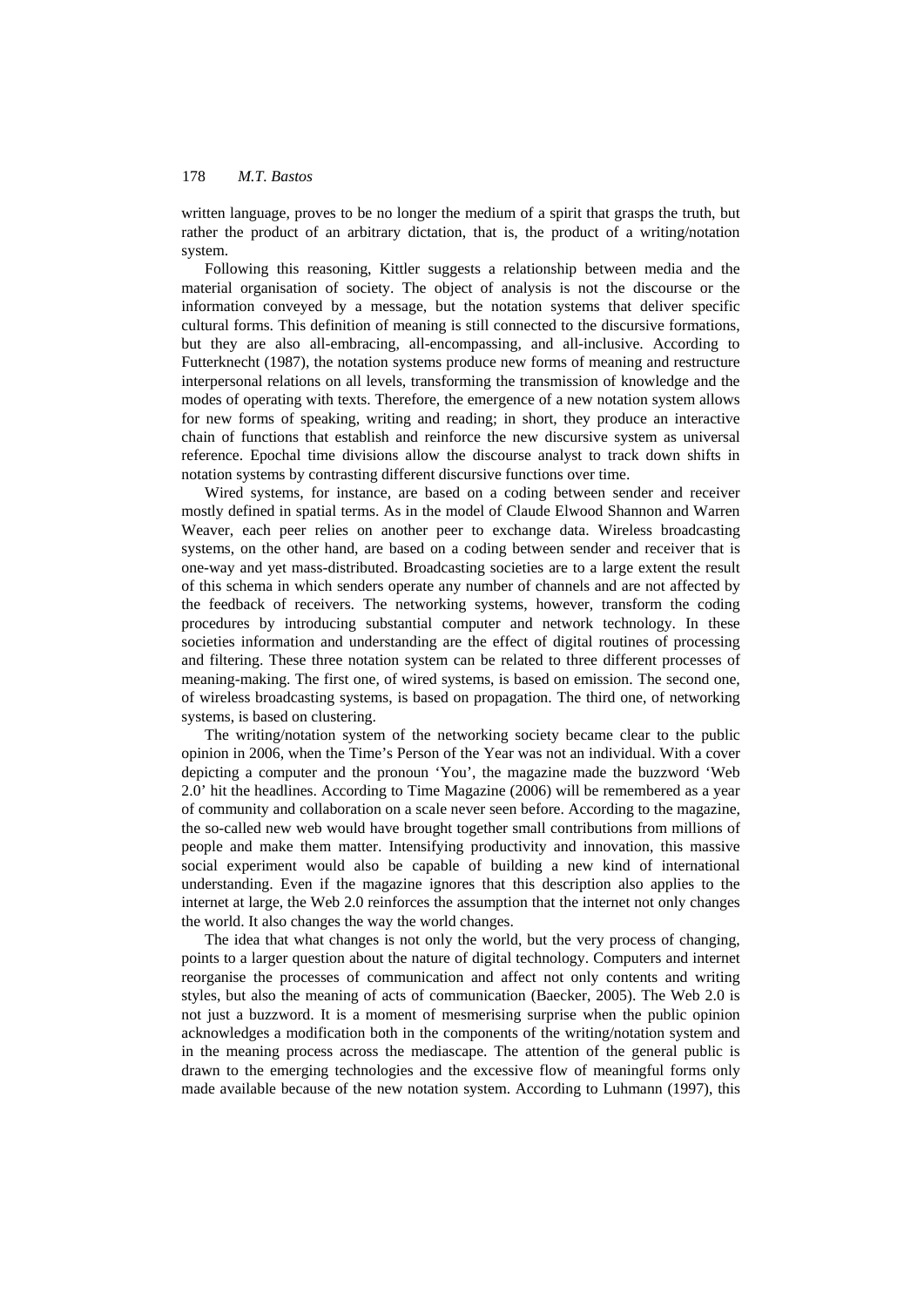written language, proves to be no longer the medium of a spirit that grasps the truth, but rather the product of an arbitrary dictation, that is, the product of a writing/notation system.

Following this reasoning, Kittler suggests a relationship between media and the material organisation of society. The object of analysis is not the discourse or the information conveyed by a message, but the notation systems that deliver specific cultural forms. This definition of meaning is still connected to the discursive formations, but they are also all-embracing, all-encompassing, and all-inclusive. According to Futterknecht (1987), the notation systems produce new forms of meaning and restructure interpersonal relations on all levels, transforming the transmission of knowledge and the modes of operating with texts. Therefore, the emergence of a new notation system allows for new forms of speaking, writing and reading; in short, they produce an interactive chain of functions that establish and reinforce the new discursive system as universal reference. Epochal time divisions allow the discourse analyst to track down shifts in notation systems by contrasting different discursive functions over time.

Wired systems, for instance, are based on a coding between sender and receiver mostly defined in spatial terms. As in the model of Claude Elwood Shannon and Warren Weaver, each peer relies on another peer to exchange data. Wireless broadcasting systems, on the other hand, are based on a coding between sender and receiver that is one-way and yet mass-distributed. Broadcasting societies are to a large extent the result of this schema in which senders operate any number of channels and are not affected by the feedback of receivers. The networking systems, however, transform the coding procedures by introducing substantial computer and network technology. In these societies information and understanding are the effect of digital routines of processing and filtering. These three notation system can be related to three different processes of meaning-making. The first one, of wired systems, is based on emission. The second one, of wireless broadcasting systems, is based on propagation. The third one, of networking systems, is based on clustering.

The writing/notation system of the networking society became clear to the public opinion in 2006, when the Time's Person of the Year was not an individual. With a cover depicting a computer and the pronoun 'You', the magazine made the buzzword 'Web 2.0' hit the headlines. According to Time Magazine (2006) will be remembered as a year of community and collaboration on a scale never seen before. According to the magazine, the so-called new web would have brought together small contributions from millions of people and make them matter. Intensifying productivity and innovation, this massive social experiment would also be capable of building a new kind of international understanding. Even if the magazine ignores that this description also applies to the internet at large, the Web 2.0 reinforces the assumption that the internet not only changes the world. It also changes the way the world changes.

The idea that what changes is not only the world, but the very process of changing, points to a larger question about the nature of digital technology. Computers and internet reorganise the processes of communication and affect not only contents and writing styles, but also the meaning of acts of communication (Baecker, 2005). The Web 2.0 is not just a buzzword. It is a moment of mesmerising surprise when the public opinion acknowledges a modification both in the components of the writing/notation system and in the meaning process across the mediascape. The attention of the general public is drawn to the emerging technologies and the excessive flow of meaningful forms only made available because of the new notation system. According to Luhmann (1997), this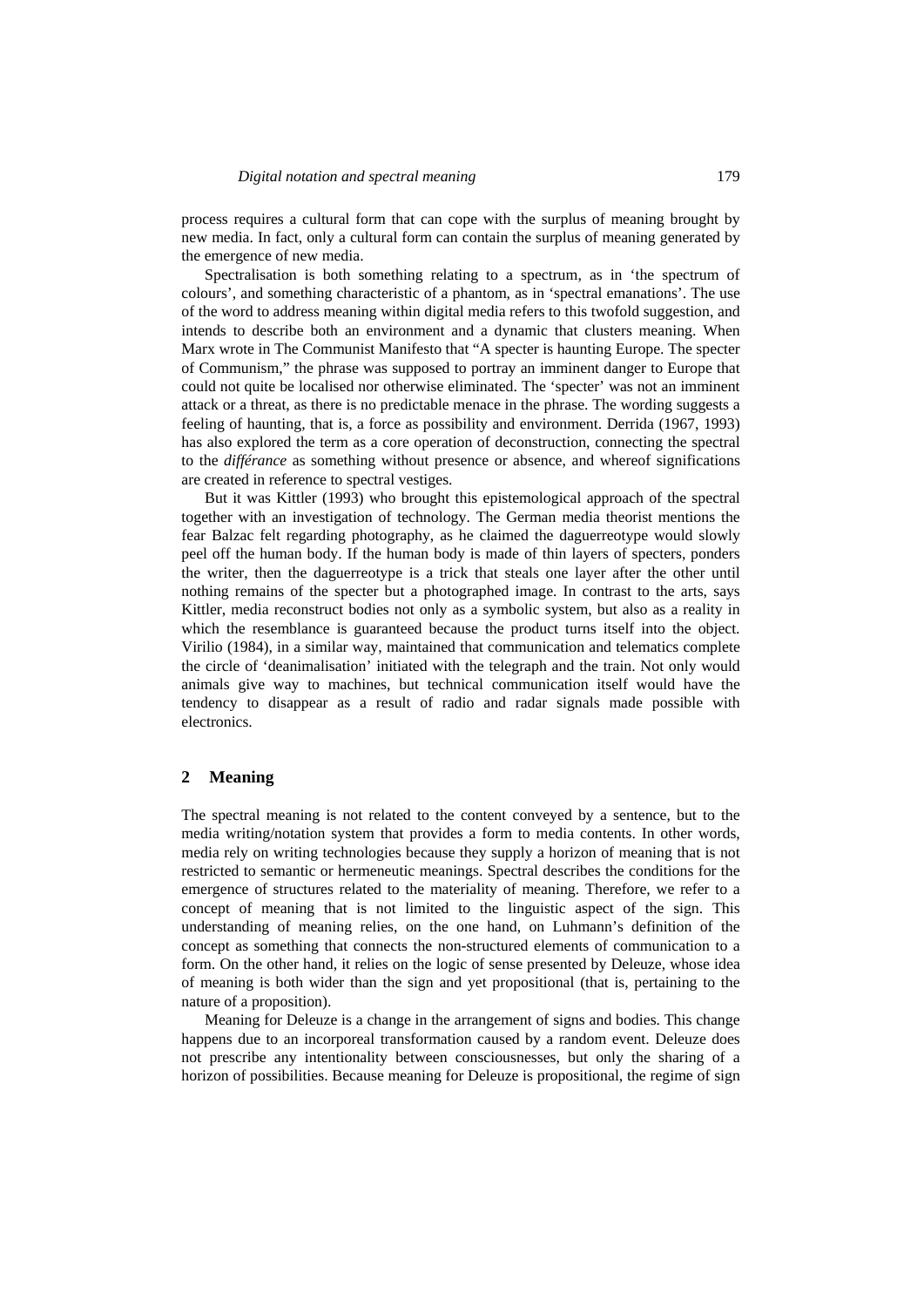process requires a cultural form that can cope with the surplus of meaning brought by new media. In fact, only a cultural form can contain the surplus of meaning generated by the emergence of new media.

Spectralisation is both something relating to a spectrum, as in 'the spectrum of colours', and something characteristic of a phantom, as in 'spectral emanations'. The use of the word to address meaning within digital media refers to this twofold suggestion, and intends to describe both an environment and a dynamic that clusters meaning. When Marx wrote in The Communist Manifesto that "A specter is haunting Europe. The specter of Communism," the phrase was supposed to portray an imminent danger to Europe that could not quite be localised nor otherwise eliminated. The 'specter' was not an imminent attack or a threat, as there is no predictable menace in the phrase. The wording suggests a feeling of haunting, that is, a force as possibility and environment. Derrida (1967, 1993) has also explored the term as a core operation of deconstruction, connecting the spectral to the *différance* as something without presence or absence, and whereof significations are created in reference to spectral vestiges.

But it was Kittler (1993) who brought this epistemological approach of the spectral together with an investigation of technology. The German media theorist mentions the fear Balzac felt regarding photography, as he claimed the daguerreotype would slowly peel off the human body. If the human body is made of thin layers of specters, ponders the writer, then the daguerreotype is a trick that steals one layer after the other until nothing remains of the specter but a photographed image. In contrast to the arts, says Kittler, media reconstruct bodies not only as a symbolic system, but also as a reality in which the resemblance is guaranteed because the product turns itself into the object. Virilio (1984), in a similar way, maintained that communication and telematics complete the circle of 'deanimalisation' initiated with the telegraph and the train. Not only would animals give way to machines, but technical communication itself would have the tendency to disappear as a result of radio and radar signals made possible with electronics.

## **2 Meaning**

The spectral meaning is not related to the content conveyed by a sentence, but to the media writing/notation system that provides a form to media contents. In other words, media rely on writing technologies because they supply a horizon of meaning that is not restricted to semantic or hermeneutic meanings. Spectral describes the conditions for the emergence of structures related to the materiality of meaning. Therefore, we refer to a concept of meaning that is not limited to the linguistic aspect of the sign. This understanding of meaning relies, on the one hand, on Luhmann's definition of the concept as something that connects the non-structured elements of communication to a form. On the other hand, it relies on the logic of sense presented by Deleuze, whose idea of meaning is both wider than the sign and yet propositional (that is, pertaining to the nature of a proposition).

Meaning for Deleuze is a change in the arrangement of signs and bodies. This change happens due to an incorporeal transformation caused by a random event. Deleuze does not prescribe any intentionality between consciousnesses, but only the sharing of a horizon of possibilities. Because meaning for Deleuze is propositional, the regime of sign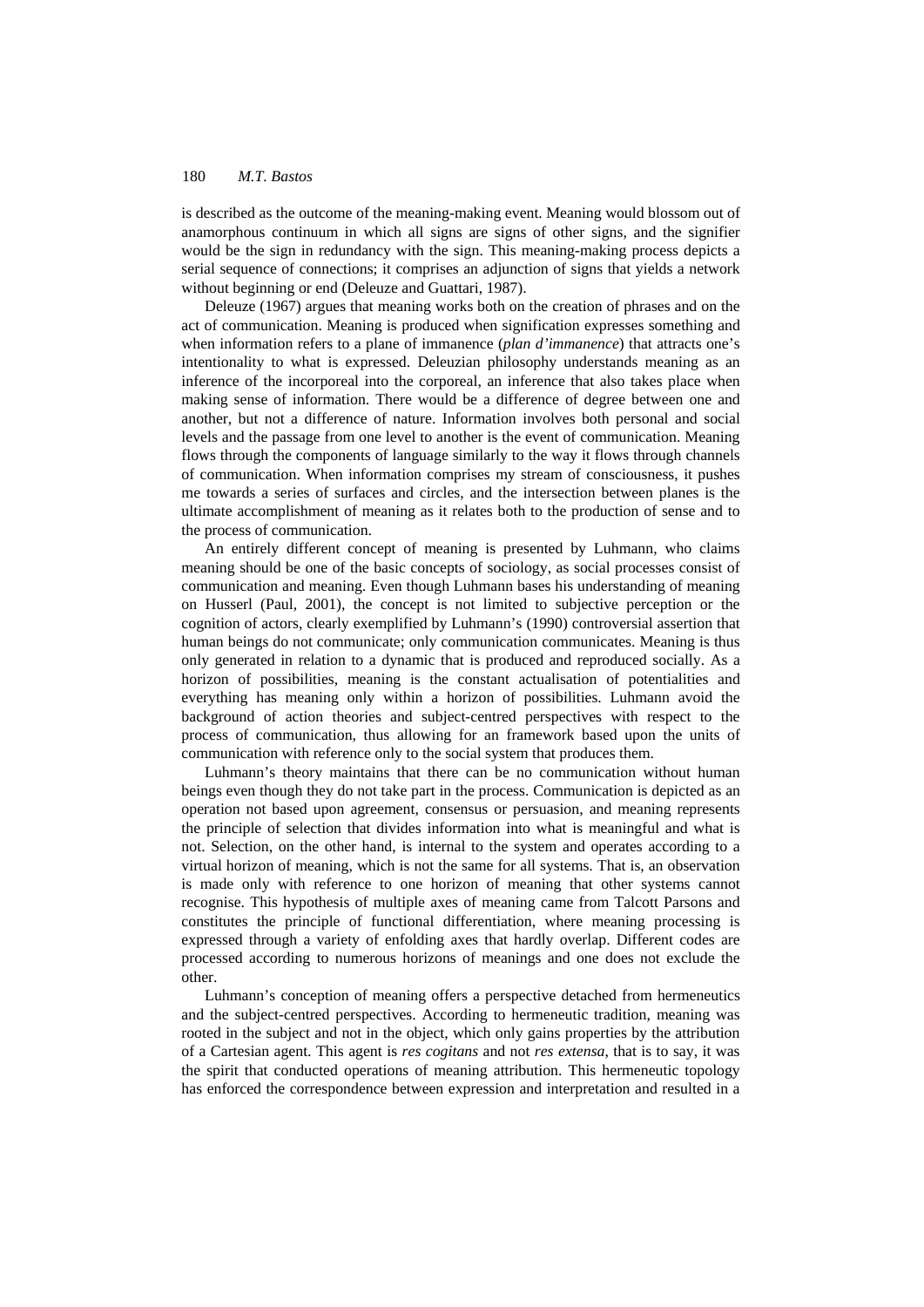is described as the outcome of the meaning-making event. Meaning would blossom out of anamorphous continuum in which all signs are signs of other signs, and the signifier would be the sign in redundancy with the sign. This meaning-making process depicts a serial sequence of connections; it comprises an adjunction of signs that yields a network without beginning or end (Deleuze and Guattari, 1987).

Deleuze (1967) argues that meaning works both on the creation of phrases and on the act of communication. Meaning is produced when signification expresses something and when information refers to a plane of immanence (*plan d'immanence*) that attracts one's intentionality to what is expressed. Deleuzian philosophy understands meaning as an inference of the incorporeal into the corporeal, an inference that also takes place when making sense of information. There would be a difference of degree between one and another, but not a difference of nature. Information involves both personal and social levels and the passage from one level to another is the event of communication. Meaning flows through the components of language similarly to the way it flows through channels of communication. When information comprises my stream of consciousness, it pushes me towards a series of surfaces and circles, and the intersection between planes is the ultimate accomplishment of meaning as it relates both to the production of sense and to the process of communication.

An entirely different concept of meaning is presented by Luhmann, who claims meaning should be one of the basic concepts of sociology, as social processes consist of communication and meaning. Even though Luhmann bases his understanding of meaning on Husserl (Paul, 2001), the concept is not limited to subjective perception or the cognition of actors, clearly exemplified by Luhmann's (1990) controversial assertion that human beings do not communicate; only communication communicates. Meaning is thus only generated in relation to a dynamic that is produced and reproduced socially. As a horizon of possibilities, meaning is the constant actualisation of potentialities and everything has meaning only within a horizon of possibilities. Luhmann avoid the background of action theories and subject-centred perspectives with respect to the process of communication, thus allowing for an framework based upon the units of communication with reference only to the social system that produces them.

Luhmann's theory maintains that there can be no communication without human beings even though they do not take part in the process. Communication is depicted as an operation not based upon agreement, consensus or persuasion, and meaning represents the principle of selection that divides information into what is meaningful and what is not. Selection, on the other hand, is internal to the system and operates according to a virtual horizon of meaning, which is not the same for all systems. That is, an observation is made only with reference to one horizon of meaning that other systems cannot recognise. This hypothesis of multiple axes of meaning came from Talcott Parsons and constitutes the principle of functional differentiation, where meaning processing is expressed through a variety of enfolding axes that hardly overlap. Different codes are processed according to numerous horizons of meanings and one does not exclude the other.

Luhmann's conception of meaning offers a perspective detached from hermeneutics and the subject-centred perspectives. According to hermeneutic tradition, meaning was rooted in the subject and not in the object, which only gains properties by the attribution of a Cartesian agent. This agent is *res cogitans* and not *res extensa*, that is to say, it was the spirit that conducted operations of meaning attribution. This hermeneutic topology has enforced the correspondence between expression and interpretation and resulted in a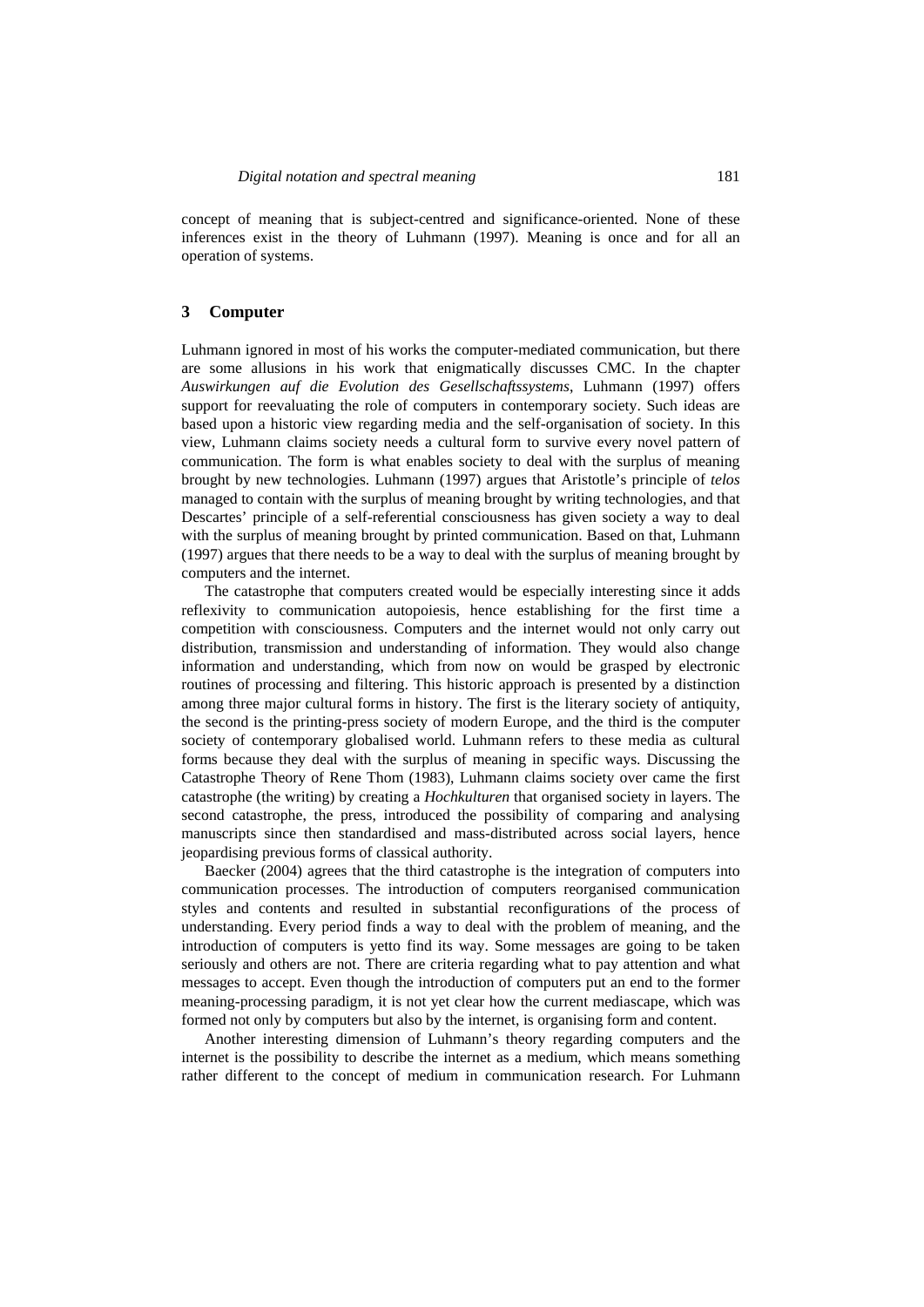concept of meaning that is subject-centred and significance-oriented. None of these inferences exist in the theory of Luhmann (1997). Meaning is once and for all an operation of systems.

## **3 Computer**

Luhmann ignored in most of his works the computer-mediated communication, but there are some allusions in his work that enigmatically discusses CMC. In the chapter *Auswirkungen auf die Evolution des Gesellschaftssystems*, Luhmann (1997) offers support for reevaluating the role of computers in contemporary society. Such ideas are based upon a historic view regarding media and the self-organisation of society. In this view, Luhmann claims society needs a cultural form to survive every novel pattern of communication. The form is what enables society to deal with the surplus of meaning brought by new technologies. Luhmann (1997) argues that Aristotle's principle of *telos* managed to contain with the surplus of meaning brought by writing technologies, and that Descartes' principle of a self-referential consciousness has given society a way to deal with the surplus of meaning brought by printed communication. Based on that, Luhmann (1997) argues that there needs to be a way to deal with the surplus of meaning brought by computers and the internet.

The catastrophe that computers created would be especially interesting since it adds reflexivity to communication autopoiesis, hence establishing for the first time a competition with consciousness. Computers and the internet would not only carry out distribution, transmission and understanding of information. They would also change information and understanding, which from now on would be grasped by electronic routines of processing and filtering. This historic approach is presented by a distinction among three major cultural forms in history. The first is the literary society of antiquity, the second is the printing-press society of modern Europe, and the third is the computer society of contemporary globalised world. Luhmann refers to these media as cultural forms because they deal with the surplus of meaning in specific ways. Discussing the Catastrophe Theory of Rene Thom (1983), Luhmann claims society over came the first catastrophe (the writing) by creating a *Hochkulturen* that organised society in layers. The second catastrophe, the press, introduced the possibility of comparing and analysing manuscripts since then standardised and mass-distributed across social layers, hence jeopardising previous forms of classical authority.

Baecker (2004) agrees that the third catastrophe is the integration of computers into communication processes. The introduction of computers reorganised communication styles and contents and resulted in substantial reconfigurations of the process of understanding. Every period finds a way to deal with the problem of meaning, and the introduction of computers is yetto find its way. Some messages are going to be taken seriously and others are not. There are criteria regarding what to pay attention and what messages to accept. Even though the introduction of computers put an end to the former meaning-processing paradigm, it is not yet clear how the current mediascape, which was formed not only by computers but also by the internet, is organising form and content.

Another interesting dimension of Luhmann's theory regarding computers and the internet is the possibility to describe the internet as a medium, which means something rather different to the concept of medium in communication research. For Luhmann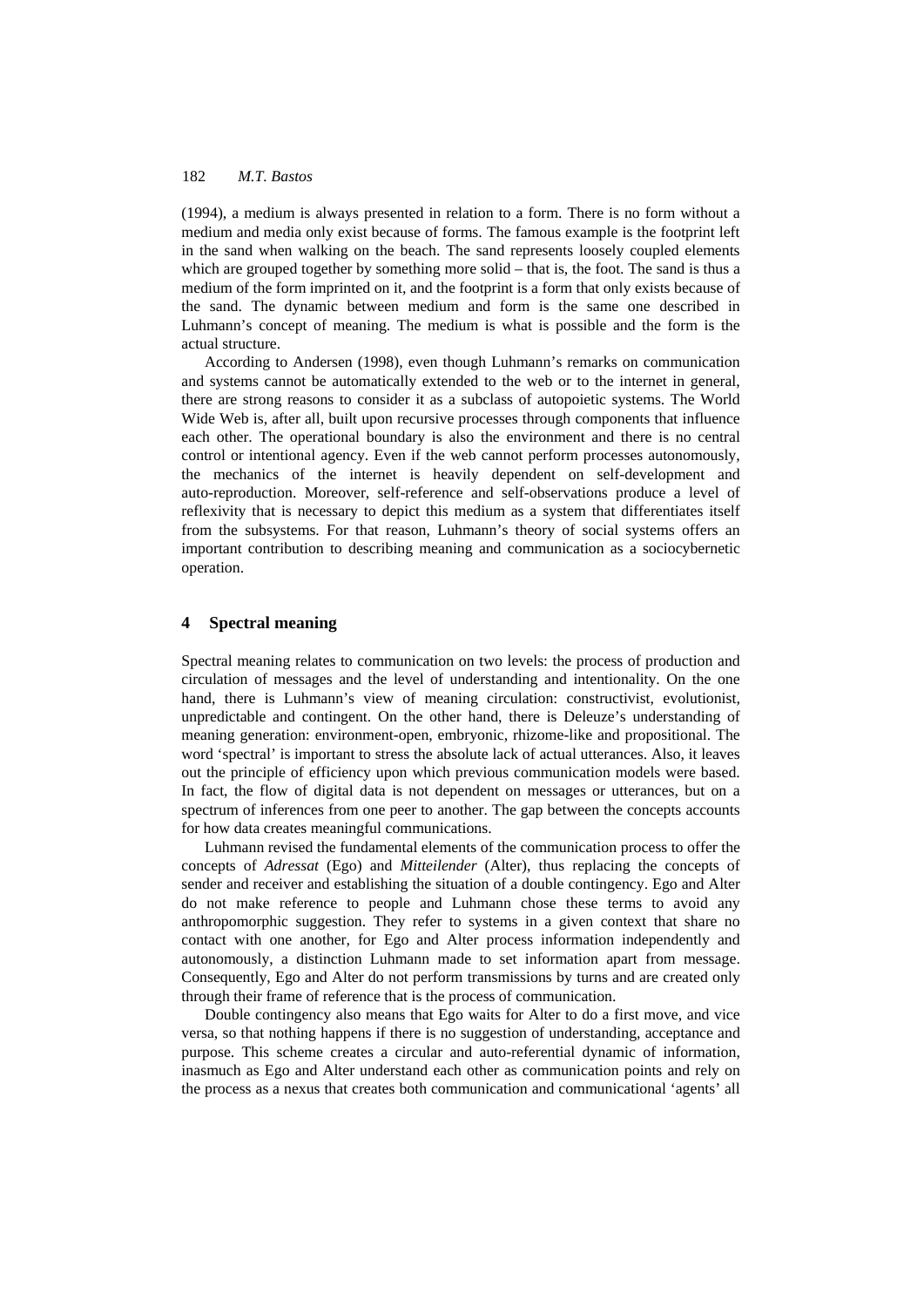(1994), a medium is always presented in relation to a form. There is no form without a medium and media only exist because of forms. The famous example is the footprint left in the sand when walking on the beach. The sand represents loosely coupled elements which are grouped together by something more solid – that is, the foot. The sand is thus a medium of the form imprinted on it, and the footprint is a form that only exists because of the sand. The dynamic between medium and form is the same one described in Luhmann's concept of meaning. The medium is what is possible and the form is the actual structure.

According to Andersen (1998), even though Luhmann's remarks on communication and systems cannot be automatically extended to the web or to the internet in general, there are strong reasons to consider it as a subclass of autopoietic systems. The World Wide Web is, after all, built upon recursive processes through components that influence each other. The operational boundary is also the environment and there is no central control or intentional agency. Even if the web cannot perform processes autonomously, the mechanics of the internet is heavily dependent on self-development and auto-reproduction. Moreover, self-reference and self-observations produce a level of reflexivity that is necessary to depict this medium as a system that differentiates itself from the subsystems. For that reason, Luhmann's theory of social systems offers an important contribution to describing meaning and communication as a sociocybernetic operation.

## **4 Spectral meaning**

Spectral meaning relates to communication on two levels: the process of production and circulation of messages and the level of understanding and intentionality. On the one hand, there is Luhmann's view of meaning circulation: constructivist, evolutionist, unpredictable and contingent. On the other hand, there is Deleuze's understanding of meaning generation: environment-open, embryonic, rhizome-like and propositional. The word 'spectral' is important to stress the absolute lack of actual utterances. Also, it leaves out the principle of efficiency upon which previous communication models were based. In fact, the flow of digital data is not dependent on messages or utterances, but on a spectrum of inferences from one peer to another. The gap between the concepts accounts for how data creates meaningful communications.

Luhmann revised the fundamental elements of the communication process to offer the concepts of *Adressat* (Ego) and *Mitteilender* (Alter), thus replacing the concepts of sender and receiver and establishing the situation of a double contingency. Ego and Alter do not make reference to people and Luhmann chose these terms to avoid any anthropomorphic suggestion. They refer to systems in a given context that share no contact with one another, for Ego and Alter process information independently and autonomously, a distinction Luhmann made to set information apart from message. Consequently, Ego and Alter do not perform transmissions by turns and are created only through their frame of reference that is the process of communication.

Double contingency also means that Ego waits for Alter to do a first move, and vice versa, so that nothing happens if there is no suggestion of understanding, acceptance and purpose. This scheme creates a circular and auto-referential dynamic of information, inasmuch as Ego and Alter understand each other as communication points and rely on the process as a nexus that creates both communication and communicational 'agents' all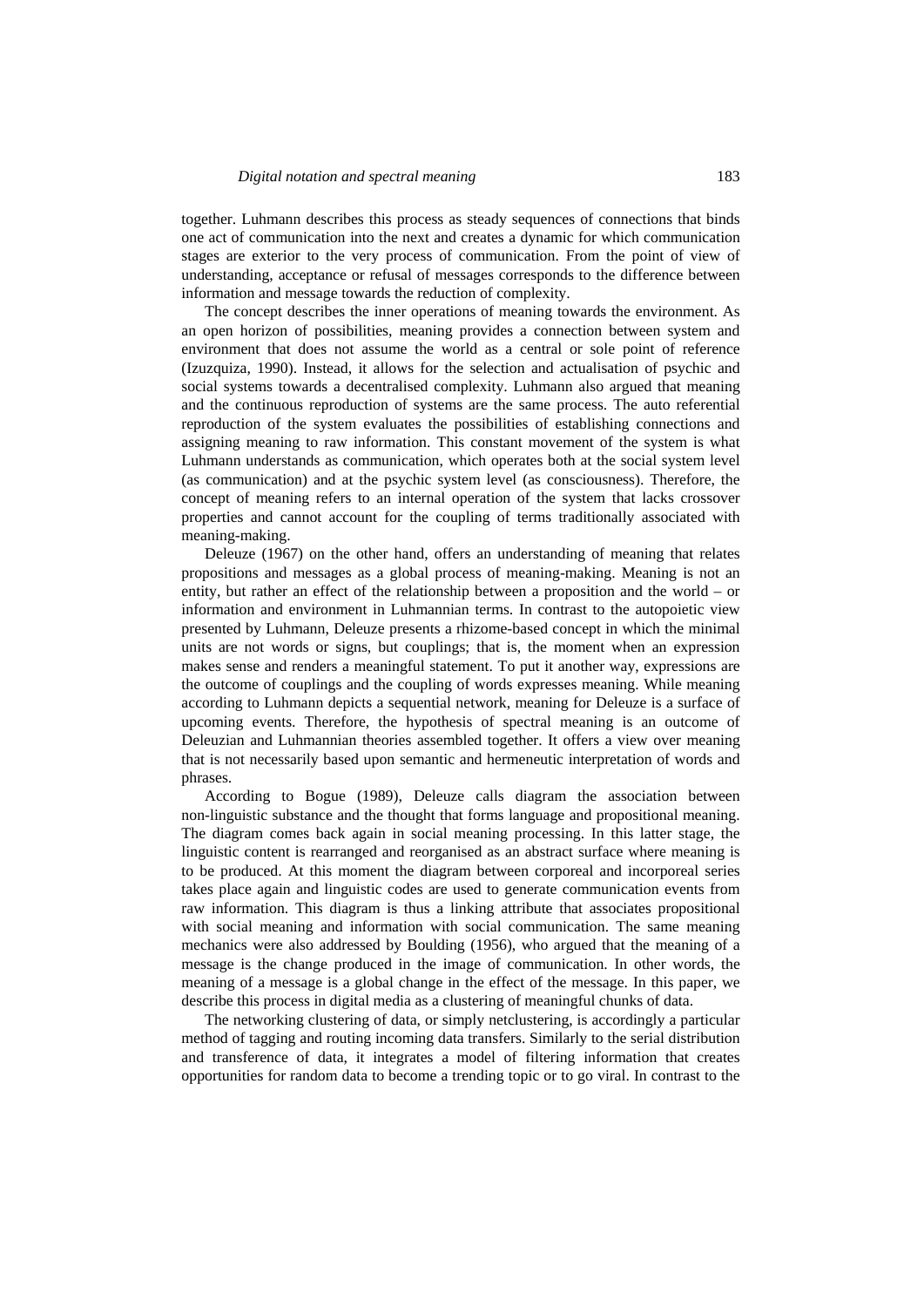#### *Digital notation and spectral meaning* 183

together. Luhmann describes this process as steady sequences of connections that binds one act of communication into the next and creates a dynamic for which communication stages are exterior to the very process of communication. From the point of view of understanding, acceptance or refusal of messages corresponds to the difference between information and message towards the reduction of complexity.

The concept describes the inner operations of meaning towards the environment. As an open horizon of possibilities, meaning provides a connection between system and environment that does not assume the world as a central or sole point of reference (Izuzquiza, 1990). Instead, it allows for the selection and actualisation of psychic and social systems towards a decentralised complexity. Luhmann also argued that meaning and the continuous reproduction of systems are the same process. The auto referential reproduction of the system evaluates the possibilities of establishing connections and assigning meaning to raw information. This constant movement of the system is what Luhmann understands as communication, which operates both at the social system level (as communication) and at the psychic system level (as consciousness). Therefore, the concept of meaning refers to an internal operation of the system that lacks crossover properties and cannot account for the coupling of terms traditionally associated with meaning-making.

Deleuze (1967) on the other hand, offers an understanding of meaning that relates propositions and messages as a global process of meaning-making. Meaning is not an entity, but rather an effect of the relationship between a proposition and the world – or information and environment in Luhmannian terms. In contrast to the autopoietic view presented by Luhmann, Deleuze presents a rhizome-based concept in which the minimal units are not words or signs, but couplings; that is, the moment when an expression makes sense and renders a meaningful statement. To put it another way, expressions are the outcome of couplings and the coupling of words expresses meaning. While meaning according to Luhmann depicts a sequential network, meaning for Deleuze is a surface of upcoming events. Therefore, the hypothesis of spectral meaning is an outcome of Deleuzian and Luhmannian theories assembled together. It offers a view over meaning that is not necessarily based upon semantic and hermeneutic interpretation of words and phrases.

According to Bogue (1989), Deleuze calls diagram the association between non-linguistic substance and the thought that forms language and propositional meaning. The diagram comes back again in social meaning processing. In this latter stage, the linguistic content is rearranged and reorganised as an abstract surface where meaning is to be produced. At this moment the diagram between corporeal and incorporeal series takes place again and linguistic codes are used to generate communication events from raw information. This diagram is thus a linking attribute that associates propositional with social meaning and information with social communication. The same meaning mechanics were also addressed by Boulding (1956), who argued that the meaning of a message is the change produced in the image of communication. In other words, the meaning of a message is a global change in the effect of the message. In this paper, we describe this process in digital media as a clustering of meaningful chunks of data.

The networking clustering of data, or simply netclustering, is accordingly a particular method of tagging and routing incoming data transfers. Similarly to the serial distribution and transference of data, it integrates a model of filtering information that creates opportunities for random data to become a trending topic or to go viral. In contrast to the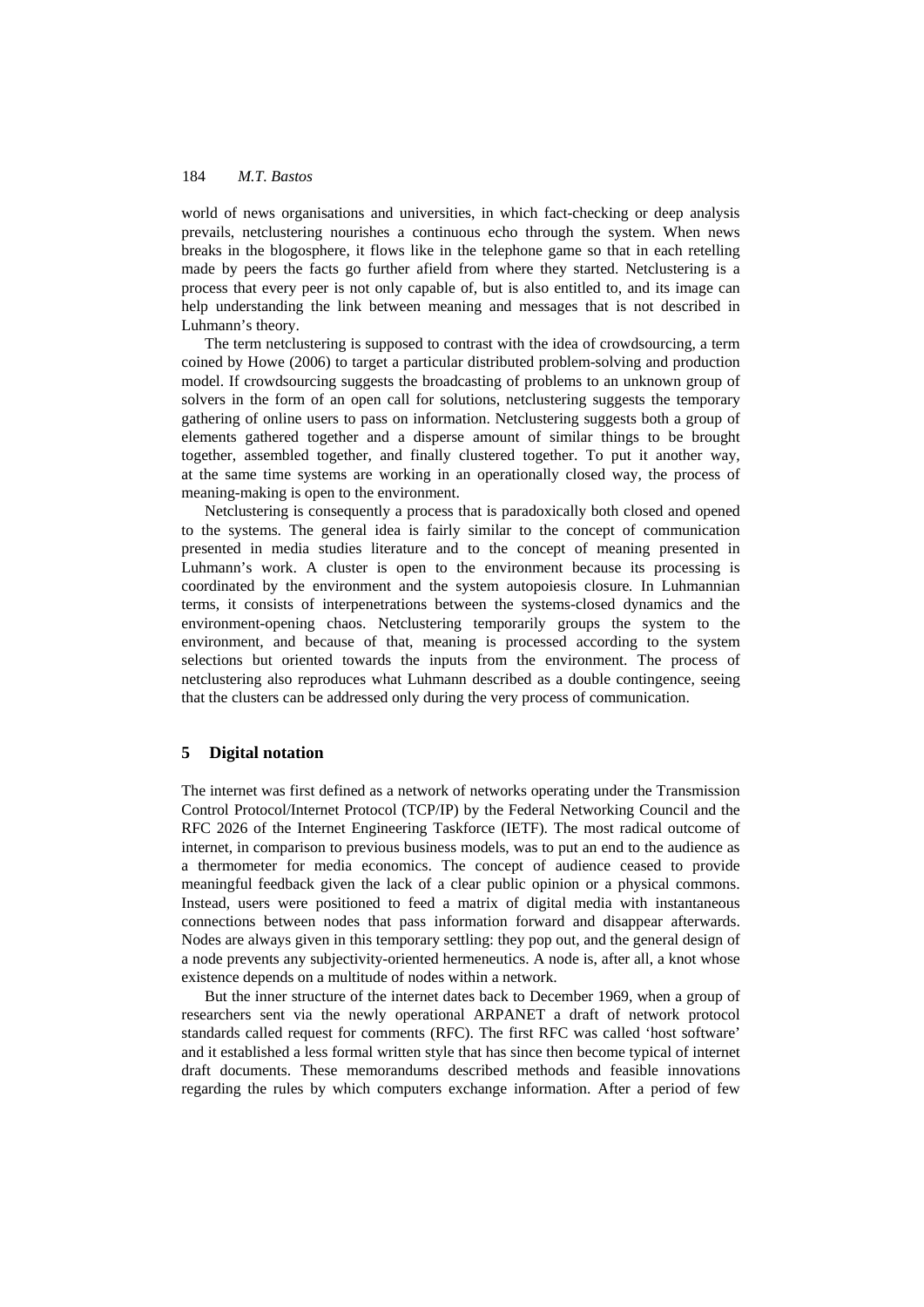world of news organisations and universities, in which fact-checking or deep analysis prevails, netclustering nourishes a continuous echo through the system. When news breaks in the blogosphere, it flows like in the telephone game so that in each retelling made by peers the facts go further afield from where they started. Netclustering is a process that every peer is not only capable of, but is also entitled to, and its image can help understanding the link between meaning and messages that is not described in Luhmann's theory.

The term netclustering is supposed to contrast with the idea of crowdsourcing, a term coined by Howe (2006) to target a particular distributed problem-solving and production model. If crowdsourcing suggests the broadcasting of problems to an unknown group of solvers in the form of an open call for solutions, netclustering suggests the temporary gathering of online users to pass on information. Netclustering suggests both a group of elements gathered together and a disperse amount of similar things to be brought together, assembled together, and finally clustered together. To put it another way, at the same time systems are working in an operationally closed way, the process of meaning-making is open to the environment.

Netclustering is consequently a process that is paradoxically both closed and opened to the systems. The general idea is fairly similar to the concept of communication presented in media studies literature and to the concept of meaning presented in Luhmann's work. A cluster is open to the environment because its processing is coordinated by the environment and the system autopoiesis closure*.* In Luhmannian terms, it consists of interpenetrations between the systems-closed dynamics and the environment-opening chaos. Netclustering temporarily groups the system to the environment, and because of that, meaning is processed according to the system selections but oriented towards the inputs from the environment. The process of netclustering also reproduces what Luhmann described as a double contingence, seeing that the clusters can be addressed only during the very process of communication.

## **5 Digital notation**

The internet was first defined as a network of networks operating under the Transmission Control Protocol/Internet Protocol (TCP/IP) by the Federal Networking Council and the RFC 2026 of the Internet Engineering Taskforce (IETF). The most radical outcome of internet, in comparison to previous business models, was to put an end to the audience as a thermometer for media economics. The concept of audience ceased to provide meaningful feedback given the lack of a clear public opinion or a physical commons. Instead, users were positioned to feed a matrix of digital media with instantaneous connections between nodes that pass information forward and disappear afterwards. Nodes are always given in this temporary settling: they pop out, and the general design of a node prevents any subjectivity-oriented hermeneutics. A node is, after all, a knot whose existence depends on a multitude of nodes within a network.

But the inner structure of the internet dates back to December 1969, when a group of researchers sent via the newly operational ARPANET a draft of network protocol standards called request for comments (RFC). The first RFC was called 'host software' and it established a less formal written style that has since then become typical of internet draft documents. These memorandums described methods and feasible innovations regarding the rules by which computers exchange information. After a period of few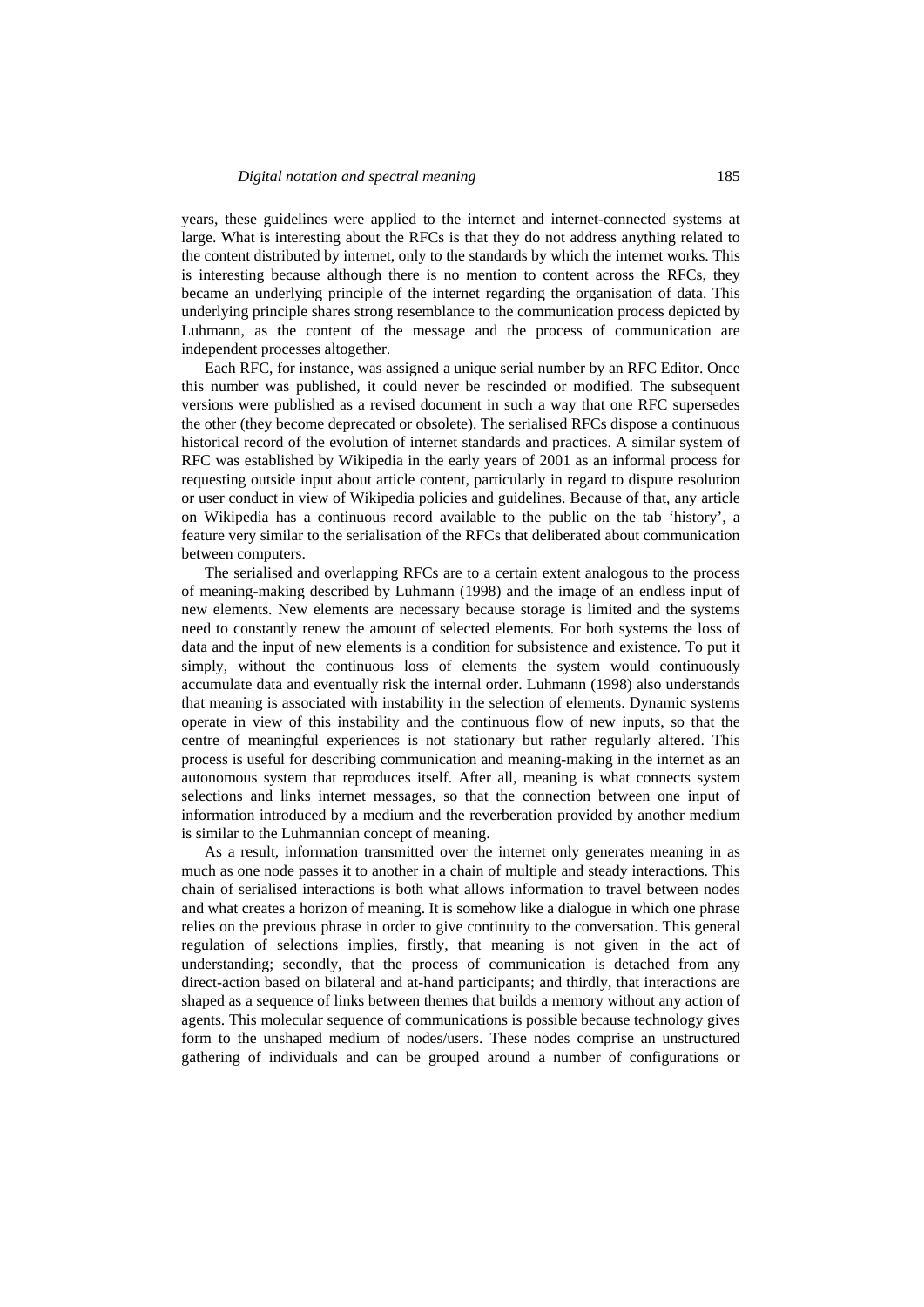years, these guidelines were applied to the internet and internet-connected systems at large. What is interesting about the RFCs is that they do not address anything related to the content distributed by internet, only to the standards by which the internet works. This is interesting because although there is no mention to content across the RFCs, they became an underlying principle of the internet regarding the organisation of data. This underlying principle shares strong resemblance to the communication process depicted by Luhmann, as the content of the message and the process of communication are independent processes altogether.

Each RFC, for instance, was assigned a unique serial number by an RFC Editor. Once this number was published, it could never be rescinded or modified. The subsequent versions were published as a revised document in such a way that one RFC supersedes the other (they become deprecated or obsolete). The serialised RFCs dispose a continuous historical record of the evolution of internet standards and practices. A similar system of RFC was established by Wikipedia in the early years of 2001 as an informal process for requesting outside input about article content, particularly in regard to dispute resolution or user conduct in view of Wikipedia policies and guidelines. Because of that, any article on Wikipedia has a continuous record available to the public on the tab 'history', a feature very similar to the serialisation of the RFCs that deliberated about communication between computers.

The serialised and overlapping RFCs are to a certain extent analogous to the process of meaning-making described by Luhmann (1998) and the image of an endless input of new elements. New elements are necessary because storage is limited and the systems need to constantly renew the amount of selected elements. For both systems the loss of data and the input of new elements is a condition for subsistence and existence. To put it simply, without the continuous loss of elements the system would continuously accumulate data and eventually risk the internal order. Luhmann (1998) also understands that meaning is associated with instability in the selection of elements. Dynamic systems operate in view of this instability and the continuous flow of new inputs, so that the centre of meaningful experiences is not stationary but rather regularly altered. This process is useful for describing communication and meaning-making in the internet as an autonomous system that reproduces itself. After all, meaning is what connects system selections and links internet messages, so that the connection between one input of information introduced by a medium and the reverberation provided by another medium is similar to the Luhmannian concept of meaning.

As a result, information transmitted over the internet only generates meaning in as much as one node passes it to another in a chain of multiple and steady interactions. This chain of serialised interactions is both what allows information to travel between nodes and what creates a horizon of meaning. It is somehow like a dialogue in which one phrase relies on the previous phrase in order to give continuity to the conversation. This general regulation of selections implies, firstly, that meaning is not given in the act of understanding; secondly, that the process of communication is detached from any direct-action based on bilateral and at-hand participants; and thirdly, that interactions are shaped as a sequence of links between themes that builds a memory without any action of agents. This molecular sequence of communications is possible because technology gives form to the unshaped medium of nodes/users. These nodes comprise an unstructured gathering of individuals and can be grouped around a number of configurations or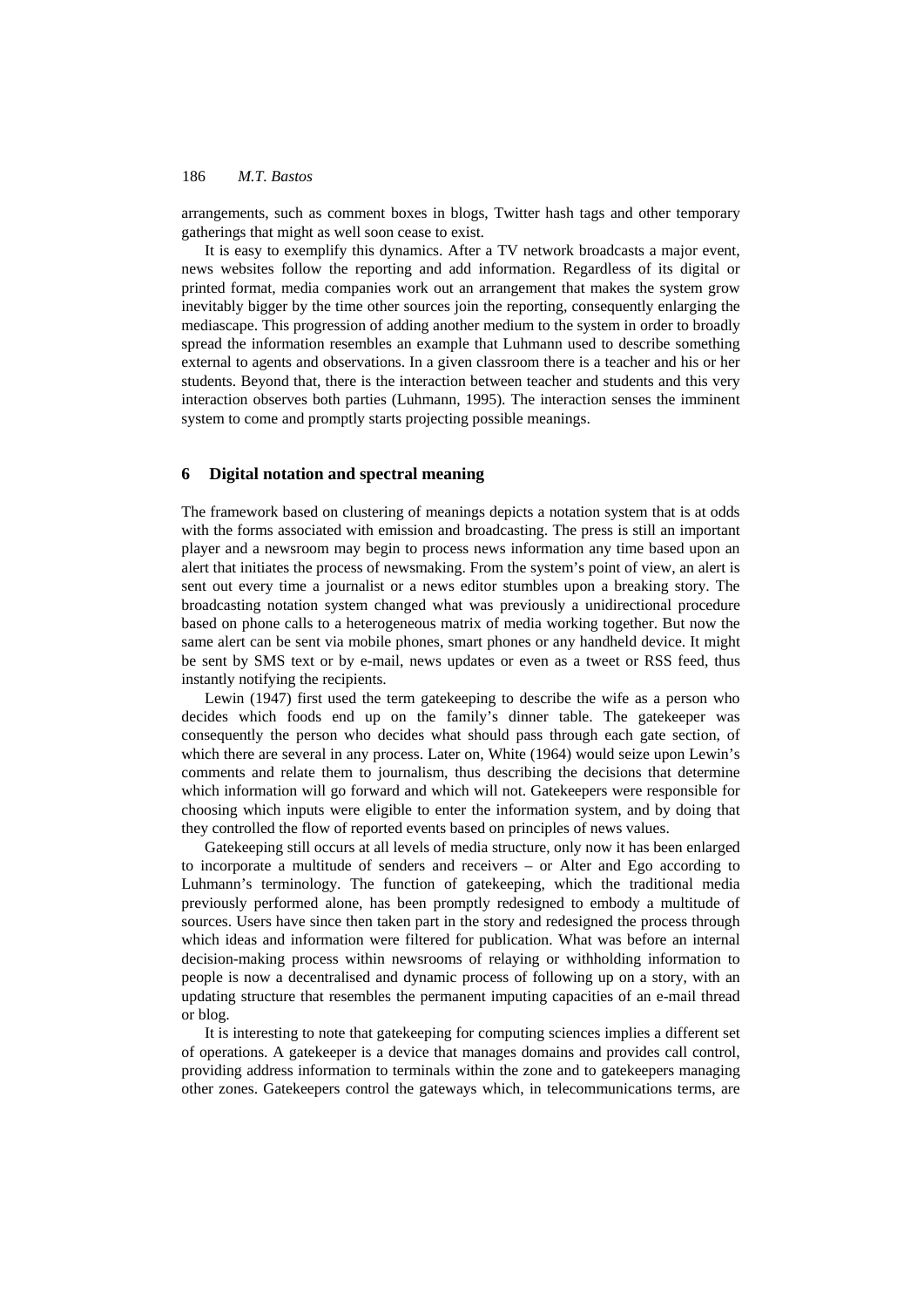arrangements, such as comment boxes in blogs, Twitter hash tags and other temporary gatherings that might as well soon cease to exist.

It is easy to exemplify this dynamics. After a TV network broadcasts a major event, news websites follow the reporting and add information. Regardless of its digital or printed format, media companies work out an arrangement that makes the system grow inevitably bigger by the time other sources join the reporting, consequently enlarging the mediascape. This progression of adding another medium to the system in order to broadly spread the information resembles an example that Luhmann used to describe something external to agents and observations. In a given classroom there is a teacher and his or her students. Beyond that, there is the interaction between teacher and students and this very interaction observes both parties (Luhmann, 1995). The interaction senses the imminent system to come and promptly starts projecting possible meanings.

### **6 Digital notation and spectral meaning**

The framework based on clustering of meanings depicts a notation system that is at odds with the forms associated with emission and broadcasting. The press is still an important player and a newsroom may begin to process news information any time based upon an alert that initiates the process of newsmaking. From the system's point of view, an alert is sent out every time a journalist or a news editor stumbles upon a breaking story. The broadcasting notation system changed what was previously a unidirectional procedure based on phone calls to a heterogeneous matrix of media working together. But now the same alert can be sent via mobile phones, smart phones or any handheld device. It might be sent by SMS text or by e-mail, news updates or even as a tweet or RSS feed, thus instantly notifying the recipients.

Lewin (1947) first used the term gatekeeping to describe the wife as a person who decides which foods end up on the family's dinner table. The gatekeeper was consequently the person who decides what should pass through each gate section, of which there are several in any process. Later on, White (1964) would seize upon Lewin's comments and relate them to journalism, thus describing the decisions that determine which information will go forward and which will not. Gatekeepers were responsible for choosing which inputs were eligible to enter the information system, and by doing that they controlled the flow of reported events based on principles of news values.

Gatekeeping still occurs at all levels of media structure, only now it has been enlarged to incorporate a multitude of senders and receivers – or Alter and Ego according to Luhmann's terminology. The function of gatekeeping, which the traditional media previously performed alone, has been promptly redesigned to embody a multitude of sources. Users have since then taken part in the story and redesigned the process through which ideas and information were filtered for publication. What was before an internal decision-making process within newsrooms of relaying or withholding information to people is now a decentralised and dynamic process of following up on a story, with an updating structure that resembles the permanent imputing capacities of an e-mail thread or blog.

It is interesting to note that gatekeeping for computing sciences implies a different set of operations. A gatekeeper is a device that manages domains and provides call control, providing address information to terminals within the zone and to gatekeepers managing other zones. Gatekeepers control the gateways which, in telecommunications terms, are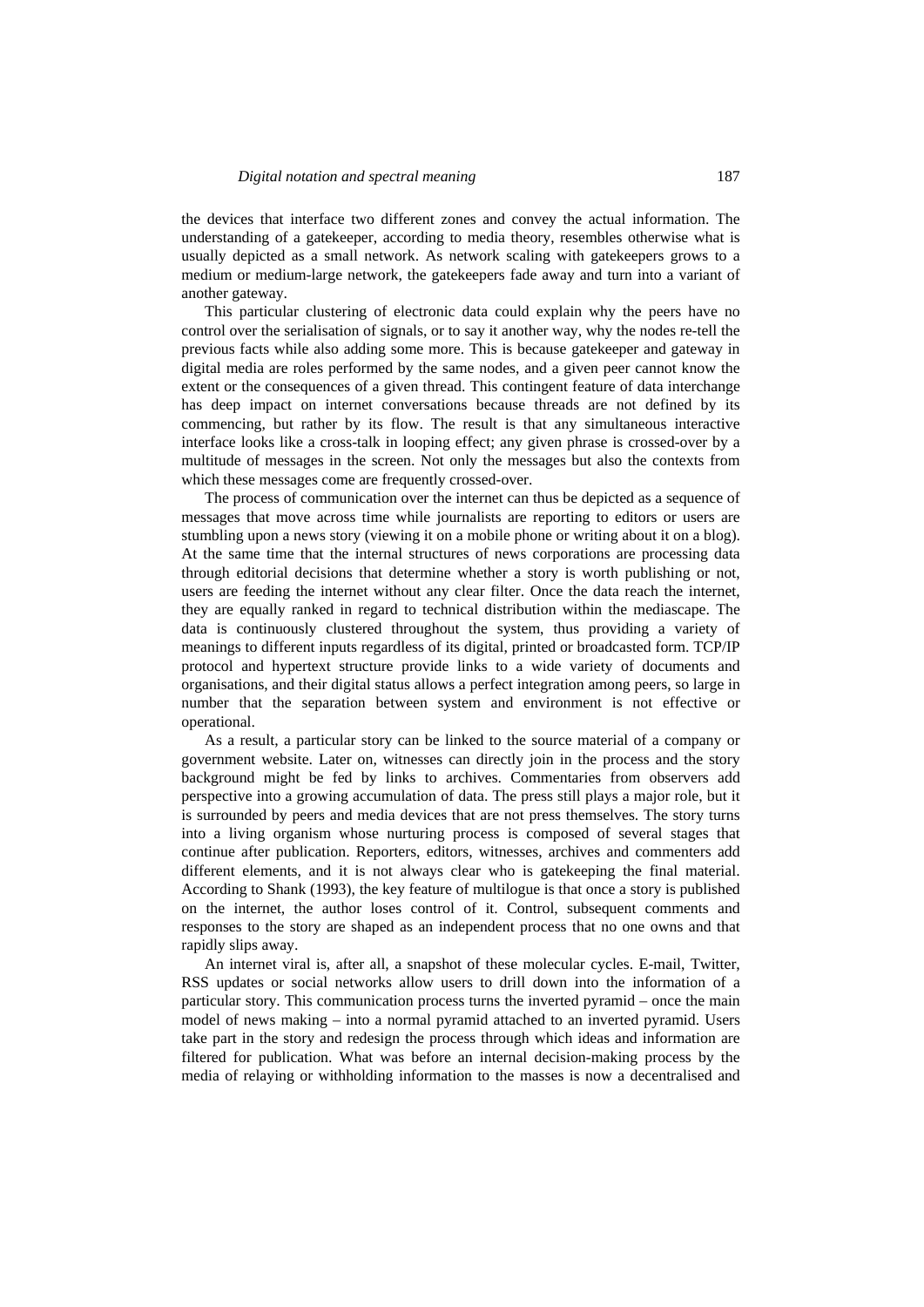the devices that interface two different zones and convey the actual information. The understanding of a gatekeeper, according to media theory, resembles otherwise what is usually depicted as a small network. As network scaling with gatekeepers grows to a medium or medium-large network, the gatekeepers fade away and turn into a variant of another gateway.

This particular clustering of electronic data could explain why the peers have no control over the serialisation of signals, or to say it another way, why the nodes re-tell the previous facts while also adding some more. This is because gatekeeper and gateway in digital media are roles performed by the same nodes, and a given peer cannot know the extent or the consequences of a given thread. This contingent feature of data interchange has deep impact on internet conversations because threads are not defined by its commencing, but rather by its flow. The result is that any simultaneous interactive interface looks like a cross-talk in looping effect; any given phrase is crossed-over by a multitude of messages in the screen. Not only the messages but also the contexts from which these messages come are frequently crossed-over.

The process of communication over the internet can thus be depicted as a sequence of messages that move across time while journalists are reporting to editors or users are stumbling upon a news story (viewing it on a mobile phone or writing about it on a blog). At the same time that the internal structures of news corporations are processing data through editorial decisions that determine whether a story is worth publishing or not, users are feeding the internet without any clear filter. Once the data reach the internet, they are equally ranked in regard to technical distribution within the mediascape. The data is continuously clustered throughout the system, thus providing a variety of meanings to different inputs regardless of its digital, printed or broadcasted form. TCP/IP protocol and hypertext structure provide links to a wide variety of documents and organisations, and their digital status allows a perfect integration among peers, so large in number that the separation between system and environment is not effective or operational.

As a result, a particular story can be linked to the source material of a company or government website. Later on, witnesses can directly join in the process and the story background might be fed by links to archives. Commentaries from observers add perspective into a growing accumulation of data. The press still plays a major role, but it is surrounded by peers and media devices that are not press themselves. The story turns into a living organism whose nurturing process is composed of several stages that continue after publication. Reporters, editors, witnesses, archives and commenters add different elements, and it is not always clear who is gatekeeping the final material. According to Shank (1993), the key feature of multilogue is that once a story is published on the internet, the author loses control of it. Control, subsequent comments and responses to the story are shaped as an independent process that no one owns and that rapidly slips away.

An internet viral is, after all, a snapshot of these molecular cycles. E-mail, Twitter, RSS updates or social networks allow users to drill down into the information of a particular story. This communication process turns the inverted pyramid – once the main model of news making – into a normal pyramid attached to an inverted pyramid. Users take part in the story and redesign the process through which ideas and information are filtered for publication. What was before an internal decision-making process by the media of relaying or withholding information to the masses is now a decentralised and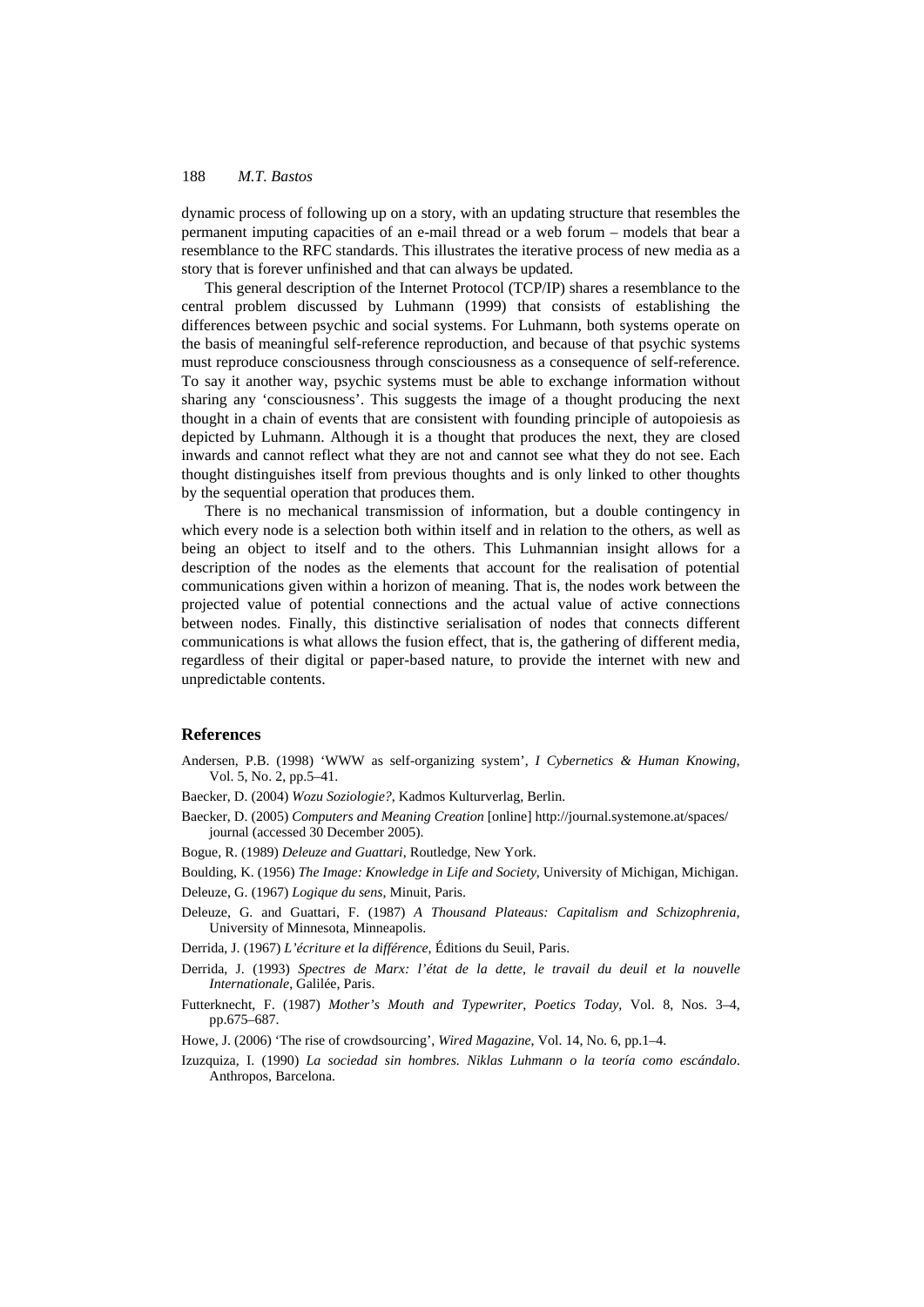dynamic process of following up on a story, with an updating structure that resembles the permanent imputing capacities of an e-mail thread or a web forum – models that bear a resemblance to the RFC standards. This illustrates the iterative process of new media as a story that is forever unfinished and that can always be updated.

This general description of the Internet Protocol (TCP/IP) shares a resemblance to the central problem discussed by Luhmann (1999) that consists of establishing the differences between psychic and social systems. For Luhmann, both systems operate on the basis of meaningful self-reference reproduction, and because of that psychic systems must reproduce consciousness through consciousness as a consequence of self-reference. To say it another way, psychic systems must be able to exchange information without sharing any 'consciousness'. This suggests the image of a thought producing the next thought in a chain of events that are consistent with founding principle of autopoiesis as depicted by Luhmann. Although it is a thought that produces the next, they are closed inwards and cannot reflect what they are not and cannot see what they do not see. Each thought distinguishes itself from previous thoughts and is only linked to other thoughts by the sequential operation that produces them.

There is no mechanical transmission of information, but a double contingency in which every node is a selection both within itself and in relation to the others, as well as being an object to itself and to the others. This Luhmannian insight allows for a description of the nodes as the elements that account for the realisation of potential communications given within a horizon of meaning. That is, the nodes work between the projected value of potential connections and the actual value of active connections between nodes. Finally, this distinctive serialisation of nodes that connects different communications is what allows the fusion effect, that is, the gathering of different media, regardless of their digital or paper-based nature, to provide the internet with new and unpredictable contents.

#### **References**

- Andersen, P.B. (1998) 'WWW as self-organizing system', *I Cybernetics & Human Knowing*, Vol. 5, No. 2, pp.5–41.
- Baecker, D. (2004) *Wozu Soziologie?*, Kadmos Kulturverlag, Berlin.
- Baecker, D. (2005) *Computers and Meaning Creation* [online] http://journal.systemone.at/spaces/ journal (accessed 30 December 2005).
- Bogue, R. (1989) *Deleuze and Guattari*, Routledge, New York.
- Boulding, K. (1956) *The Image: Knowledge in Life and Society*, University of Michigan, Michigan.

Deleuze, G. (1967) *Logique du sens*, Minuit, Paris.

- Deleuze, G. and Guattari, F. (1987) *A Thousand Plateaus: Capitalism and Schizophrenia*, University of Minnesota, Minneapolis.
- Derrida, J. (1967) *L'écriture et la différence*, Éditions du Seuil, Paris.
- Derrida, J. (1993) *Spectres de Marx: l'état de la dette, le travail du deuil et la nouvelle Internationale*, Galilée, Paris.
- Futterknecht, F. (1987) *Mother's Mouth and Typewriter*, *Poetics Today*, Vol. 8, Nos. 3–4, pp.675–687.
- Howe, J. (2006) 'The rise of crowdsourcing', *Wired Magazine*, Vol. 14, No. 6, pp.1–4.
- Izuzquiza, I. (1990) *La sociedad sin hombres. Niklas Luhmann o la teoría como escándalo*. Anthropos, Barcelona.